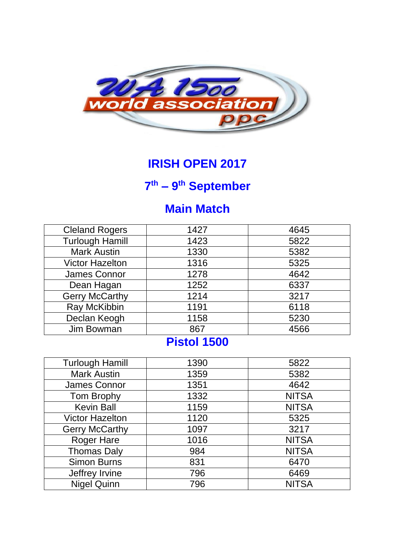

### **IRISH OPEN 2017**

#### **7 th – 9 th September**

## **Main Match**

| 1427 | 4645 |
|------|------|
| 1423 | 5822 |
| 1330 | 5382 |
| 1316 | 5325 |
| 1278 | 4642 |
| 1252 | 6337 |
| 1214 | 3217 |
| 1191 | 6118 |
| 1158 | 5230 |
| 867  | 4566 |
|      |      |

## **Pistol 1500**

| <b>Turlough Hamill</b> | 1390 | 5822         |
|------------------------|------|--------------|
| <b>Mark Austin</b>     | 1359 | 5382         |
| James Connor           | 1351 | 4642         |
|                        | 1332 | <b>NITSA</b> |
| Tom Brophy             |      |              |
| <b>Kevin Ball</b>      | 1159 | <b>NITSA</b> |
| <b>Victor Hazelton</b> | 1120 | 5325         |
| <b>Gerry McCarthy</b>  | 1097 | 3217         |
| <b>Roger Hare</b>      | 1016 | <b>NITSA</b> |
| <b>Thomas Daly</b>     | 984  | <b>NITSA</b> |
| <b>Simon Burns</b>     | 831  | 6470         |
| Jeffrey Irvine         | 796  | 6469         |
| <b>Nigel Quinn</b>     | 796  | <b>NITSA</b> |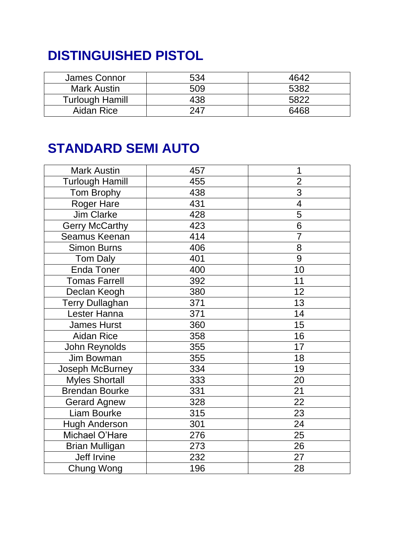# **DISTINGUISHED PISTOL**

| James Connor           | 534 | 4642 |
|------------------------|-----|------|
| <b>Mark Austin</b>     | 509 | 5382 |
| <b>Turlough Hamill</b> | 438 | 5822 |
| Aidan Rice             | 247 | 6468 |

# **STANDARD SEMI AUTO**

| <b>Mark Austin</b>     | 457 | 1                        |
|------------------------|-----|--------------------------|
| <b>Turlough Hamill</b> | 455 | $\overline{2}$           |
| Tom Brophy             | 438 | $\overline{3}$           |
| <b>Roger Hare</b>      | 431 | $\overline{\mathcal{A}}$ |
| <b>Jim Clarke</b>      | 428 | $\overline{5}$           |
| <b>Gerry McCarthy</b>  | 423 | 6                        |
| Seamus Keenan          | 414 | $\overline{7}$           |
| Simon Burns            | 406 | 8                        |
| <b>Tom Daly</b>        | 401 | 9                        |
| <b>Enda Toner</b>      | 400 | 10                       |
| <b>Tomas Farrell</b>   | 392 | 11                       |
| Declan Keogh           | 380 | 12                       |
| Terry Dullaghan        | 371 | 13                       |
| Lester Hanna           | 371 | 14                       |
| <b>James Hurst</b>     | 360 | 15                       |
| <b>Aidan Rice</b>      | 358 | 16                       |
| John Reynolds          | 355 | 17                       |
| Jim Bowman             | 355 | 18                       |
| Joseph McBurney        | 334 | 19                       |
| <b>Myles Shortall</b>  | 333 | 20                       |
| <b>Brendan Bourke</b>  | 331 | 21                       |
| <b>Gerard Agnew</b>    | 328 | 22                       |
| Liam Bourke            | 315 | 23                       |
| <b>Hugh Anderson</b>   | 301 | 24                       |
| Michael O'Hare         | 276 | 25                       |
| <b>Brian Mulligan</b>  | 273 | 26                       |
| Jeff Irvine            | 232 | 27                       |
| Chung Wong             | 196 | 28                       |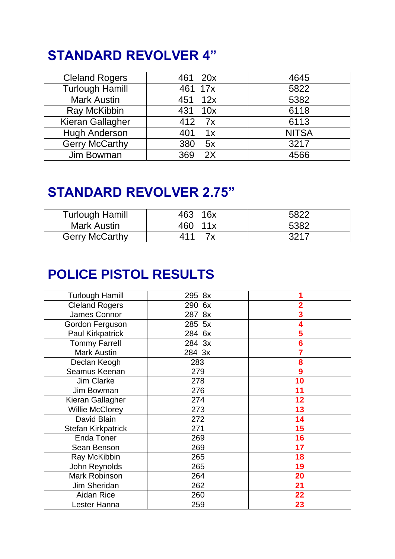# **STANDARD REVOLVER 4"**

| <b>Cleland Rogers</b>  | 461 20x    | 4645         |
|------------------------|------------|--------------|
| <b>Turlough Hamill</b> | 461 17x    | 5822         |
| <b>Mark Austin</b>     | 451 12x    | 5382         |
| Ray McKibbin           | 431<br>10x | 6118         |
| Kieran Gallagher       | 412 7x     | 6113         |
| <b>Hugh Anderson</b>   | 401<br>1x  | <b>NITSA</b> |
| <b>Gerry McCarthy</b>  | 380<br>5x  | 3217         |
| Jim Bowman             | 2X<br>369  | 4566         |

## **STANDARD REVOLVER 2.75"**

| <b>Turlough Hamill</b> | 463 16x | 5822 |
|------------------------|---------|------|
| Mark Austin            | 460 11x | 5382 |
| <b>Gerry McCarthy</b>  | 411     | 3217 |

# **POLICE PISTOL RESULTS**

| <b>Turlough Hamill</b>  | 295 8x |                         |
|-------------------------|--------|-------------------------|
| <b>Cleland Rogers</b>   | 290 6x | $\overline{\mathbf{2}}$ |
| James Connor            | 287 8x | 3                       |
| Gordon Ferguson         | 285 5x | 4                       |
| <b>Paul Kirkpatrick</b> | 284 6x | 5                       |
| <b>Tommy Farrell</b>    | 284 3x | $6\phantom{1}6$         |
| <b>Mark Austin</b>      | 284 3x | 7                       |
| Declan Keogh            | 283    | 8                       |
| Seamus Keenan           | 279    | 9                       |
| <b>Jim Clarke</b>       | 278    | 10                      |
| Jim Bowman              | 276    | 11                      |
| Kieran Gallagher        | 274    | 12                      |
| <b>Willie McClorey</b>  | 273    | 13                      |
| David Blain             | 272    | 14                      |
| Stefan Kirkpatrick      | 271    | 15                      |
| <b>Enda Toner</b>       | 269    | 16                      |
| Sean Benson             | 269    | 17                      |
| Ray McKibbin            | 265    | 18                      |
| John Reynolds           | 265    | 19                      |
| Mark Robinson           | 264    | 20                      |
| Jim Sheridan            | 262    | 21                      |
| Aidan Rice              | 260    | 22                      |
| Lester Hanna            | 259    | 23                      |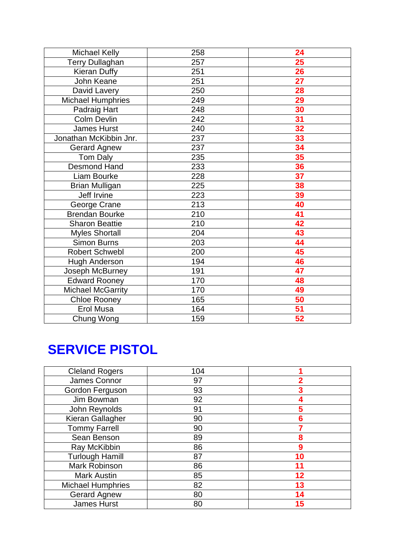| Michael Kelly          | 258 | 24              |
|------------------------|-----|-----------------|
| <b>Terry Dullaghan</b> | 257 | 25              |
| <b>Kieran Duffy</b>    | 251 | 26              |
| John Keane             | 251 | $\overline{27}$ |
| David Lavery           | 250 | 28              |
| Michael Humphries      | 249 | 29              |
| Padraig Hart           | 248 | 30              |
| <b>Colm Devlin</b>     | 242 | 31              |
| <b>James Hurst</b>     | 240 | 32              |
| Jonathan McKibbin Jnr. | 237 | 33              |
| <b>Gerard Agnew</b>    | 237 | 34              |
| Tom Daly               | 235 | 35              |
| <b>Desmond Hand</b>    | 233 | 36              |
| Liam Bourke            | 228 | 37              |
| <b>Brian Mulligan</b>  | 225 | 38              |
| Jeff Irvine            | 223 | 39              |
| George Crane           | 213 | 40              |
| Brendan Bourke         | 210 | 41              |
| <b>Sharon Beattie</b>  | 210 | 42              |
| <b>Myles Shortall</b>  | 204 | 43              |
| Simon Burns            | 203 | 44              |
| <b>Robert Schwebl</b>  | 200 | 45              |
| <b>Hugh Anderson</b>   | 194 | 46              |
| Joseph McBurney        | 191 | 47              |
| <b>Edward Rooney</b>   | 170 | 48              |
| Michael McGarrity      | 170 | 49              |
| Chloe Rooney           | 165 | 50              |
| Erol Musa              | 164 | 51              |
| Chung Wong             | 159 | 52              |

# **SERVICE PISTOL**

| <b>Cleland Rogers</b>    | 104 |    |
|--------------------------|-----|----|
| James Connor             | 97  |    |
| Gordon Ferguson          | 93  |    |
| Jim Bowman               | 92  |    |
| John Reynolds            | 91  | 5  |
| Kieran Gallagher         | 90  | 6  |
| <b>Tommy Farrell</b>     | 90  |    |
| Sean Benson              | 89  | 8  |
| Ray McKibbin             | 86  | 9  |
| <b>Turlough Hamill</b>   | 87  | 10 |
| Mark Robinson            | 86  | 11 |
| <b>Mark Austin</b>       | 85  | 12 |
| <b>Michael Humphries</b> | 82  | 13 |
| <b>Gerard Agnew</b>      | 80  | 14 |
| <b>James Hurst</b>       | 80  | 15 |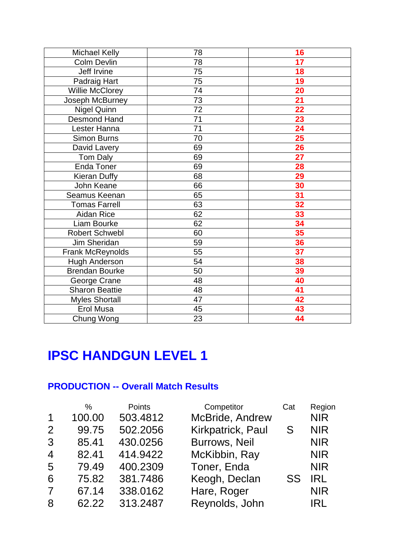| <b>Michael Kelly</b>  | 78              | 16              |
|-----------------------|-----------------|-----------------|
| <b>Colm Devlin</b>    | 78              | 17              |
| Jeff Irvine           | 75              | 18              |
| Padraig Hart          | 75              | 19              |
| Willie McClorey       | 74              | 20              |
| Joseph McBurney       | $\overline{73}$ | $\overline{21}$ |
| <b>Nigel Quinn</b>    | 72              | $\overline{22}$ |
| <b>Desmond Hand</b>   | 71              | 23              |
| Lester Hanna          | 71              | 24              |
| <b>Simon Burns</b>    | 70              | 25              |
| David Lavery          | 69              | 26              |
| Tom Daly              | 69              | 27              |
| Enda Toner            | 69              | 28              |
| <b>Kieran Duffy</b>   | 68              | 29              |
| John Keane            | 66              | 30              |
| Seamus Keenan         | 65              | 31              |
| <b>Tomas Farrell</b>  | 63              | 32              |
| <b>Aidan Rice</b>     | 62              | 33              |
| Liam Bourke           | 62              | 34              |
| <b>Robert Schwebl</b> | 60              | 35              |
| Jim Sheridan          | 59              | <b>36</b>       |
| Frank McReynolds      | 55              | $\overline{37}$ |
| <b>Hugh Anderson</b>  | 54              | 38              |
| <b>Brendan Bourke</b> | 50              | 39              |
| George Crane          | 48              | 40              |
| <b>Sharon Beattie</b> | 48              | 41              |
| <b>Myles Shortall</b> | $\overline{47}$ | 42              |
| Erol Musa             | 45              | 43              |
| Chung Wong            | 23              | 44              |

## **IPSC HANDGUN LEVEL 1**

#### **PRODUCTION -- Overall Match Results**

| $\frac{0}{0}$ | <b>Points</b> | Competitor           | Cat | Region     |
|---------------|---------------|----------------------|-----|------------|
| 100.00        | 503.4812      | McBride, Andrew      |     | <b>NIR</b> |
| 99.75         | 502.2056      | Kirkpatrick, Paul    | S.  | <b>NIR</b> |
| 85.41         | 430.0256      | <b>Burrows, Neil</b> |     | <b>NIR</b> |
| 82.41         | 414.9422      | McKibbin, Ray        |     | <b>NIR</b> |
| 79.49         | 400.2309      | Toner, Enda          |     | <b>NIR</b> |
| 75.82         | 381.7486      | Keogh, Declan        | SS  | <b>IRL</b> |
| 67.14         | 338.0162      | Hare, Roger          |     | <b>NIR</b> |
| 62.22         | 313.2487      | Reynolds, John       |     | <b>IRL</b> |
|               |               |                      |     |            |